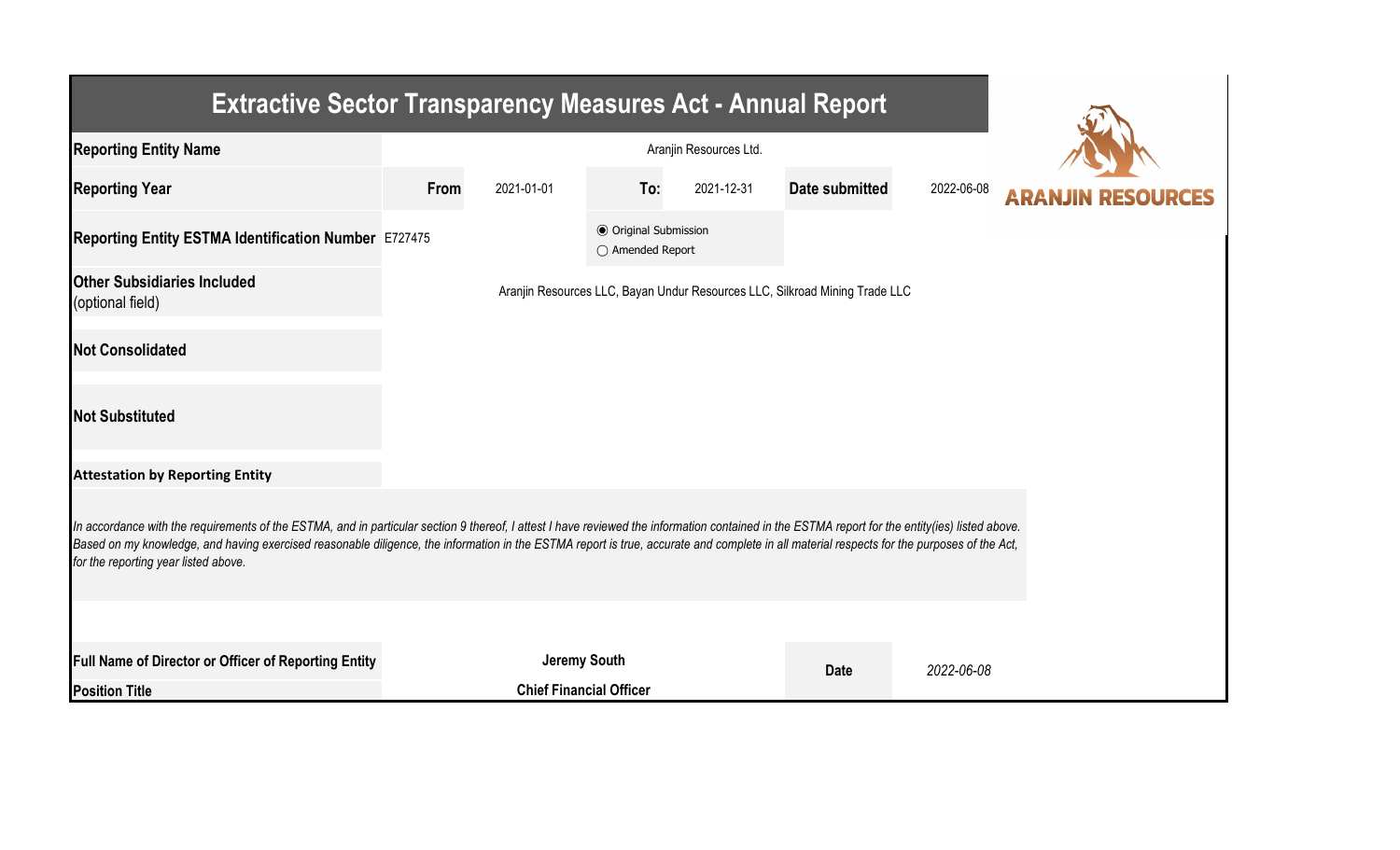| <b>Extractive Sector Transparency Measures Act - Annual Report</b>                                                                                                                                                                                                                                                                                                                                                                    |      |                                |                                                  |            |                                                                             |            |  |  |  |  |
|---------------------------------------------------------------------------------------------------------------------------------------------------------------------------------------------------------------------------------------------------------------------------------------------------------------------------------------------------------------------------------------------------------------------------------------|------|--------------------------------|--------------------------------------------------|------------|-----------------------------------------------------------------------------|------------|--|--|--|--|
| <b>Reporting Entity Name</b>                                                                                                                                                                                                                                                                                                                                                                                                          |      |                                |                                                  |            |                                                                             |            |  |  |  |  |
| <b>Reporting Year</b>                                                                                                                                                                                                                                                                                                                                                                                                                 | From | 2021-01-01                     | To:                                              | 2021-12-31 | Date submitted                                                              | 2022-06-08 |  |  |  |  |
| Reporting Entity ESTMA Identification Number E727475                                                                                                                                                                                                                                                                                                                                                                                  |      |                                | <b>⊙</b> Original Submission<br>○ Amended Report |            |                                                                             |            |  |  |  |  |
| <b>Other Subsidiaries Included</b><br>(optional field)                                                                                                                                                                                                                                                                                                                                                                                |      |                                |                                                  |            | Aranjin Resources LLC, Bayan Undur Resources LLC, Silkroad Mining Trade LLC |            |  |  |  |  |
| <b>Not Consolidated</b>                                                                                                                                                                                                                                                                                                                                                                                                               |      |                                |                                                  |            |                                                                             |            |  |  |  |  |
| <b>Not Substituted</b>                                                                                                                                                                                                                                                                                                                                                                                                                |      |                                |                                                  |            |                                                                             |            |  |  |  |  |
| <b>Attestation by Reporting Entity</b>                                                                                                                                                                                                                                                                                                                                                                                                |      |                                |                                                  |            |                                                                             |            |  |  |  |  |
| In accordance with the requirements of the ESTMA, and in particular section 9 thereof, I attest I have reviewed the information contained in the ESTMA report for the entity(ies) listed above.<br>Based on my knowledge, and having exercised reasonable diligence, the information in the ESTMA report is true, accurate and complete in all material respects for the purposes of the Act,<br>for the reporting year listed above. |      |                                |                                                  |            |                                                                             |            |  |  |  |  |
|                                                                                                                                                                                                                                                                                                                                                                                                                                       |      |                                |                                                  |            |                                                                             |            |  |  |  |  |
| Full Name of Director or Officer of Reporting Entity                                                                                                                                                                                                                                                                                                                                                                                  |      |                                | <b>Jeremy South</b>                              |            | <b>Date</b>                                                                 | 2022-06-08 |  |  |  |  |
| <b>Position Title</b>                                                                                                                                                                                                                                                                                                                                                                                                                 |      | <b>Chief Financial Officer</b> |                                                  |            |                                                                             |            |  |  |  |  |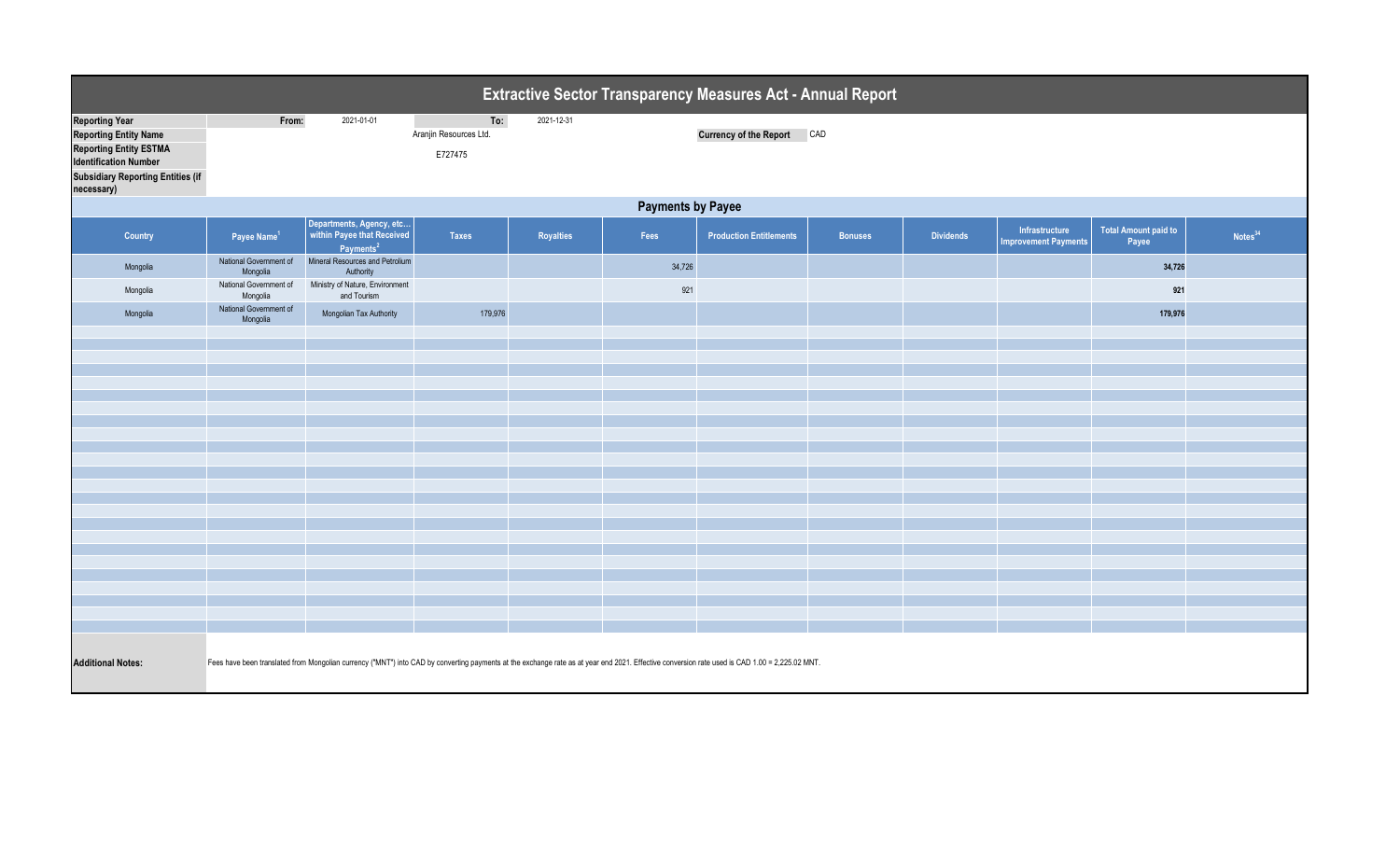| <b>Extractive Sector Transparency Measures Act - Annual Report</b>                                                                                                               |                                                                                                                                                                                                |                                                                                 |                                          |                  |        |                                   |                |                  |                                               |                                      |                     |  |
|----------------------------------------------------------------------------------------------------------------------------------------------------------------------------------|------------------------------------------------------------------------------------------------------------------------------------------------------------------------------------------------|---------------------------------------------------------------------------------|------------------------------------------|------------------|--------|-----------------------------------|----------------|------------------|-----------------------------------------------|--------------------------------------|---------------------|--|
| <b>Reporting Year</b><br><b>Reporting Entity Name</b><br><b>Reporting Entity ESTMA</b><br><b>Identification Number</b><br><b>Subsidiary Reporting Entities (if</b><br>necessary) | From:                                                                                                                                                                                          | 2021-01-01                                                                      | To:<br>Aranjin Resources Ltd.<br>E727475 | 2021-12-31       |        | <b>Currency of the Report CAD</b> |                |                  |                                               |                                      |                     |  |
| <b>Payments by Payee</b>                                                                                                                                                         |                                                                                                                                                                                                |                                                                                 |                                          |                  |        |                                   |                |                  |                                               |                                      |                     |  |
| Country                                                                                                                                                                          | Payee Name <sup>1</sup>                                                                                                                                                                        | Departments, Agency, etc<br>within Payee that Received<br>Payments <sup>2</sup> | <b>Taxes</b>                             | <b>Royalties</b> | Fees   | <b>Production Entitlements</b>    | <b>Bonuses</b> | <b>Dividends</b> | Infrastructure<br><b>Improvement Payments</b> | <b>Total Amount paid to</b><br>Payee | Notes <sup>34</sup> |  |
| Mongolia                                                                                                                                                                         | National Government of<br>Mongolia                                                                                                                                                             | Mineral Resources and Petrolium<br>Authority                                    |                                          |                  | 34,726 |                                   |                |                  |                                               | 34,726                               |                     |  |
| Mongolia                                                                                                                                                                         | National Government of<br>Mongolia                                                                                                                                                             | Ministry of Nature, Environment<br>and Tourism                                  |                                          |                  | 921    |                                   |                |                  |                                               | 921                                  |                     |  |
| Mongolia                                                                                                                                                                         | National Government of<br>Mongolia                                                                                                                                                             | Mongolian Tax Authority                                                         | 179,976                                  |                  |        |                                   |                |                  |                                               | 179,976                              |                     |  |
|                                                                                                                                                                                  |                                                                                                                                                                                                |                                                                                 |                                          |                  |        |                                   |                |                  |                                               |                                      |                     |  |
|                                                                                                                                                                                  |                                                                                                                                                                                                |                                                                                 |                                          |                  |        |                                   |                |                  |                                               |                                      |                     |  |
|                                                                                                                                                                                  |                                                                                                                                                                                                |                                                                                 |                                          |                  |        |                                   |                |                  |                                               |                                      |                     |  |
|                                                                                                                                                                                  |                                                                                                                                                                                                |                                                                                 |                                          |                  |        |                                   |                |                  |                                               |                                      |                     |  |
|                                                                                                                                                                                  |                                                                                                                                                                                                |                                                                                 |                                          |                  |        |                                   |                |                  |                                               |                                      |                     |  |
|                                                                                                                                                                                  |                                                                                                                                                                                                |                                                                                 |                                          |                  |        |                                   |                |                  |                                               |                                      |                     |  |
|                                                                                                                                                                                  |                                                                                                                                                                                                |                                                                                 |                                          |                  |        |                                   |                |                  |                                               |                                      |                     |  |
|                                                                                                                                                                                  |                                                                                                                                                                                                |                                                                                 |                                          |                  |        |                                   |                |                  |                                               |                                      |                     |  |
|                                                                                                                                                                                  |                                                                                                                                                                                                |                                                                                 |                                          |                  |        |                                   |                |                  |                                               |                                      |                     |  |
|                                                                                                                                                                                  |                                                                                                                                                                                                |                                                                                 |                                          |                  |        |                                   |                |                  |                                               |                                      |                     |  |
|                                                                                                                                                                                  |                                                                                                                                                                                                |                                                                                 |                                          |                  |        |                                   |                |                  |                                               |                                      |                     |  |
|                                                                                                                                                                                  |                                                                                                                                                                                                |                                                                                 |                                          |                  |        |                                   |                |                  |                                               |                                      |                     |  |
|                                                                                                                                                                                  |                                                                                                                                                                                                |                                                                                 |                                          |                  |        |                                   |                |                  |                                               |                                      |                     |  |
|                                                                                                                                                                                  |                                                                                                                                                                                                |                                                                                 |                                          |                  |        |                                   |                |                  |                                               |                                      |                     |  |
| <b>Additional Notes:</b>                                                                                                                                                         | Fees have been translated from Mongolian currency ("MNT") into CAD by converting payments at the exchange rate as at year end 2021. Effective conversion rate used is CAD 1.00 = 2,225.02 MNT. |                                                                                 |                                          |                  |        |                                   |                |                  |                                               |                                      |                     |  |